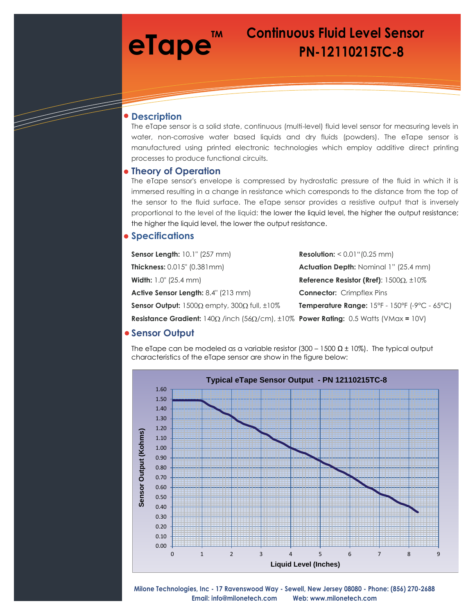# **TM**

## **eTape**<sup>TM</sup> Continuous Fluid Level Sensor  **PN-12110215TC-8**

### **Description**

The eTape sensor is a solid state, continuous (multi-level) fluid level sensor for measuring levels in water, non-corrosive water based liquids and dry fluids (powders). The eTape sensor is manufactured using printed electronic technologies which employ additive direct printing processes to produce functional circuits.

### **Theory of Operation**

The eTape sensor's envelope is compressed by hydrostatic pressure of the fluid in which it is immersed resulting in a change in resistance which corresponds to the distance from the top of the sensor to the fluid surface. The eTape sensor provides a resistive output that is inversely proportional to the level of the liquid: the lower the liquid level, the higher the output resistance; the higher the liquid level, the lower the output resistance.

## **Specifications**

| Sensor Length: 10.1" (257 mm)                                                                             | <b>Resolution:</b> $< 0.01$ " $(0.25$ mm)                                              |
|-----------------------------------------------------------------------------------------------------------|----------------------------------------------------------------------------------------|
| <b>Thickness:</b> 0.015" (0.381mm)                                                                        | <b>Actuation Depth: Nominal 1" (25.4 mm)</b>                                           |
| <b>Width:</b> 1.0" (25.4 mm)                                                                              | Reference Resistor (Rref): $1500\Omega$ , $\pm 10\%$                                   |
| <b>Active Sensor Length:</b> 8.4" (213 mm)                                                                | <b>Connector:</b> Crimpflex Pins                                                       |
| <b>Sensor Output:</b> $1500\Omega$ empty, $300\Omega$ full, $\pm 10\%$                                    | <b>Temperature Range:</b> $15^{\circ}F - 150^{\circ}F$ (-9 $^{\circ}C - 65^{\circ}C$ ) |
| Resistance Gradient: $140\Omega$ /inch (56 $\Omega$ /cm), $\pm 10\%$ Power Rating: 0.5 Watts (VMax = 10V) |                                                                                        |

## **Sensor Output**

The eTape can be modeled as a variable resistor  $(300 - 1500 \Omega \pm 10\%)$ . The typical output characteristics of the eTape sensor are show in the figure below:



**Milone Technologies, Inc - 17 Ravenswood Way - Sewell, New Jersey 08080 - Phone: (856) 270-2688 Email: info@milonetech.com Web: www.milonetech.com**